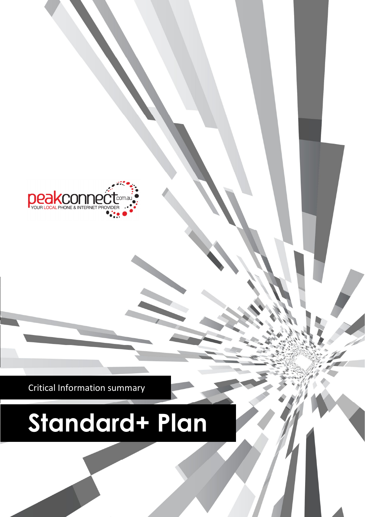

Critical Information summary

# **Standard+ Plan**

product sheets and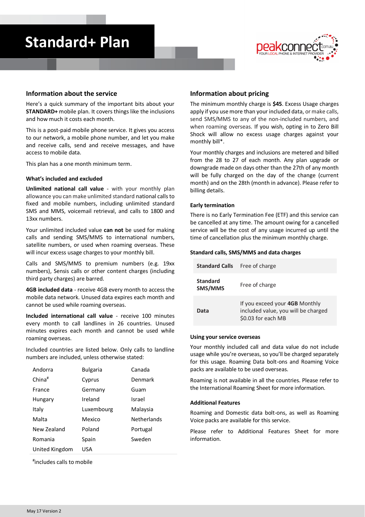# **Standard+ Plan**



### **Information about the service**

Here's a quick summary of the important bits about your **STANDARD+** mobile plan. It covers things like the inclusions and how much it costs each month.

This is a post-paid mobile phone service. It gives you access to our network, a mobile phone number, and let you make and receive calls, send and receive messages, and have access to mobile data.

This plan has a one month minimum term.

#### **What's included and excluded**

**Unlimited national call value** - with your monthly plan allowance you can make unlimited standard national calls to fixed and mobile numbers, including unlimited standard SMS and MMS, voicemail retrieval, and calls to 1800 and 13xx numbers.

Your unlimited included value **can not** be used for making calls and sending SMS/MMS to international numbers, satellite numbers, or used when roaming overseas. These will incur excess usage charges to your monthly bill.

Calls and SMS/MMS to premium numbers (e.g. 19xx numbers), Sensis calls or other content charges (including third party charges) are barred.

**4GB included data** - receive 4GB every month to access the mobile data network. Unused data expires each month and cannot be used while roaming overseas.

**Included international call value** - receive 100 minutes every month to call landlines in 26 countries. Unused minutes expires each month and cannot be used while roaming overseas.

Included countries are listed below. Only calls to landline numbers are included, unless otherwise stated:

| <b>Bulgaria</b> | Canada             |
|-----------------|--------------------|
| Cyprus          | Denmark            |
| Germany         | Guam               |
| Ireland         | Israel             |
| Luxembourg      | Malaysia           |
| Mexico          | <b>Netherlands</b> |
| Poland          | Portugal           |
| Spain           | Sweden             |
| USA             |                    |
|                 |                    |

# includes calls to mobile

## **Information about pricing**

The minimum monthly charge is **\$45**. Excess Usage charges apply if you use more than your included data, or make calls, send SMS/MMS to any of the non-included numbers, and when roaming overseas. If you wish, opting in to Zero Bill Shock will allow no excess usage charges against your monthly bill\*.

Your monthly charges and inclusions are metered and billed from the 28 to 27 of each month. Any plan upgrade or downgrade made on days other than the 27th of any month will be fully charged on the day of the change (current month) and on the 28th (month in advance). Please refer to billing details.

#### **Early termination**

There is no Early Termination Fee (ETF) and this service can be cancelled at any time. The amount owing for a cancelled service will be the cost of any usage incurred up until the time of cancellation plus the minimum monthly charge.

#### **Standard calls, SMS/MMS and data charges**

| <b>Standard Calls</b>      | Free of charge                                                                              |
|----------------------------|---------------------------------------------------------------------------------------------|
| <b>Standard</b><br>SMS/MMS | Free of charge                                                                              |
| Data                       | If you exceed your 4GB Monthly<br>included value, you will be charged<br>\$0.03 for each MB |

#### **Using your service overseas**

Your monthly included call and data value do not include usage while you're overseas, so you'll be charged separately for this usage. Roaming Data bolt-ons and Roaming Voice packs are available to be used overseas.

Roaming is not available in all the countries. Please refer to the International Roaming Sheet for more information.

#### **Additional Features**

Roaming and Domestic data bolt-ons, as well as Roaming Voice packs are available for this service.

Please refer to Additional Features Sheet for more information.